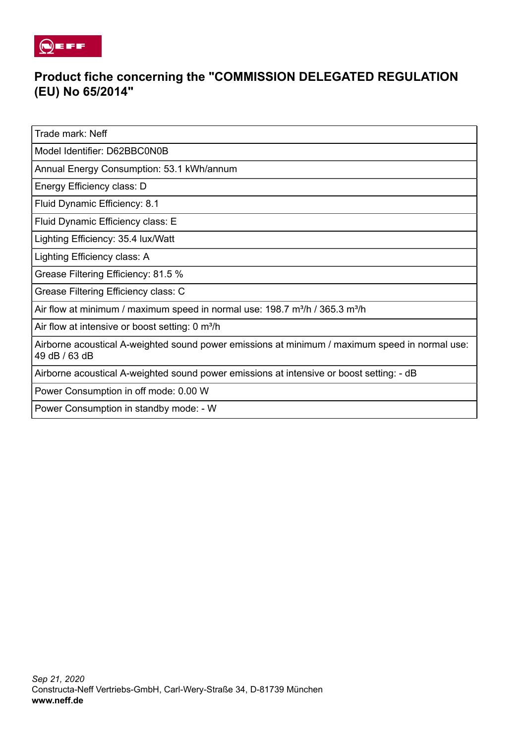

## **Product fiche concerning the "COMMISSION DELEGATED REGULATION (EU) No 65/2014"**

Trade mark: Neff

Model Identifier: D62BBC0N0B

Annual Energy Consumption: 53.1 kWh/annum

Energy Efficiency class: D

Fluid Dynamic Efficiency: 8.1

Fluid Dynamic Efficiency class: E

Lighting Efficiency: 35.4 lux/Watt

Lighting Efficiency class: A

Grease Filtering Efficiency: 81.5 %

Grease Filtering Efficiency class: C

Air flow at minimum / maximum speed in normal use: 198.7 m<sup>3</sup>/h / 365.3 m<sup>3</sup>/h

Air flow at intensive or boost setting: 0 m<sup>3</sup>/h

Airborne acoustical A-weighted sound power emissions at minimum / maximum speed in normal use: 49 dB / 63 dB

Airborne acoustical A-weighted sound power emissions at intensive or boost setting: - dB

Power Consumption in off mode: 0.00 W

Power Consumption in standby mode: - W